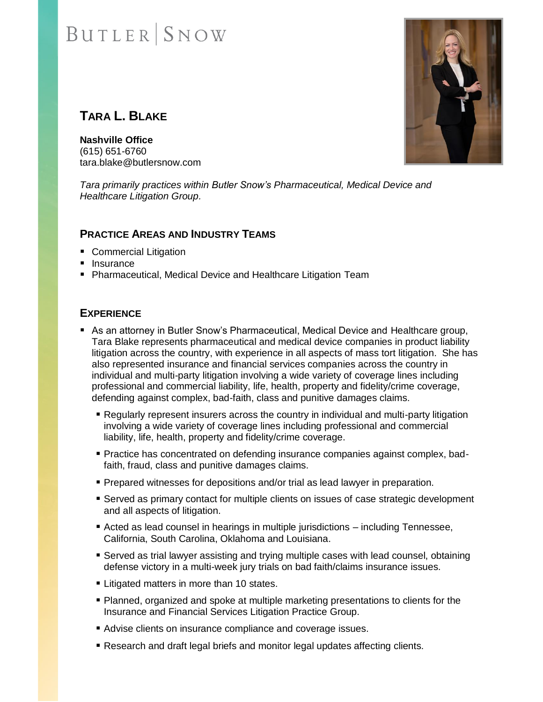## **BUTLER** SNOW

### **TARA L. BLAKE**

**Nashville Office** (615) 651-6760 tara.blake@butlersnow.com

*Tara primarily practices within Butler Snow's Pharmaceutical, Medical Device and Healthcare Litigation Group.*

#### **PRACTICE AREAS AND INDUSTRY TEAMS**

- Commercial Litigation
- Insurance
- Pharmaceutical, Medical Device and Healthcare Litigation Team

#### **EXPERIENCE**

- As an attorney in Butler Snow's Pharmaceutical, Medical Device and Healthcare group, Tara Blake represents pharmaceutical and medical device companies in product liability litigation across the country, with experience in all aspects of mass tort litigation. She has also represented insurance and financial services companies across the country in individual and multi-party litigation involving a wide variety of coverage lines including professional and commercial liability, life, health, property and fidelity/crime coverage, defending against complex, bad-faith, class and punitive damages claims.
	- Regularly represent insurers across the country in individual and multi-party litigation involving a wide variety of coverage lines including professional and commercial liability, life, health, property and fidelity/crime coverage.
	- **Practice has concentrated on defending insurance companies against complex, bad**faith, fraud, class and punitive damages claims.
	- **Prepared witnesses for depositions and/or trial as lead lawyer in preparation.**
	- **EXECT** Served as primary contact for multiple clients on issues of case strategic development and all aspects of litigation.
	- Acted as lead counsel in hearings in multiple jurisdictions including Tennessee, California, South Carolina, Oklahoma and Louisiana.
	- Served as trial lawyer assisting and trying multiple cases with lead counsel, obtaining defense victory in a multi-week jury trials on bad faith/claims insurance issues.
	- **Example 1** Litigated matters in more than 10 states.
	- Planned, organized and spoke at multiple marketing presentations to clients for the Insurance and Financial Services Litigation Practice Group.
	- Advise clients on insurance compliance and coverage issues.
	- Research and draft legal briefs and monitor legal updates affecting clients.

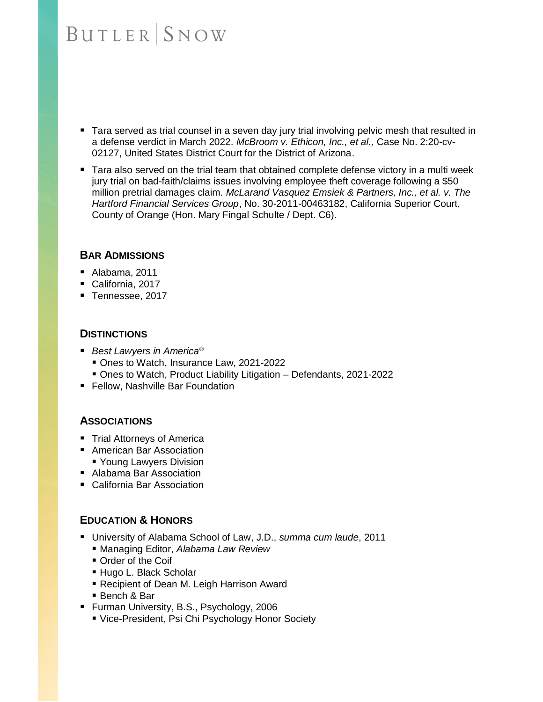### **BUTLER** SNOW

- Tara served as trial counsel in a seven day jury trial involving pelvic mesh that resulted in a defense verdict in March 2022. *McBroom v. Ethicon, Inc., et al.,* Case No. 2:20-cv-02127, United States District Court for the District of Arizona.
- Tara also served on the trial team that obtained complete defense victory in a multi week jury trial on bad-faith/claims issues involving employee theft coverage following a \$50 million pretrial damages claim. *McLarand Vasquez Emsiek & Partners, Inc., et al. v. The Hartford Financial Services Group*, No. 30-2011-00463182, California Superior Court, County of Orange (Hon. Mary Fingal Schulte / Dept. C6).

#### **BAR ADMISSIONS**

- Alabama, 2011
- California, 2017
- Tennessee, 2017

#### **DISTINCTIONS**

- *Best Lawyers in America<sup>®</sup>* 
	- Ones to Watch, Insurance Law, 2021-2022
	- Ones to Watch, Product Liability Litigation Defendants, 2021-2022
- Fellow, Nashville Bar Foundation

#### **ASSOCIATIONS**

- Trial Attorneys of America
- American Bar Association ■ Young Lawyers Division
- Alabama Bar Association
- California Bar Association

#### **EDUCATION & HONORS**

- University of Alabama School of Law, J.D., *summa cum laude*, 2011
	- Managing Editor, *Alabama Law Review*
	- Order of the Coif
	- Hugo L. Black Scholar
	- Recipient of Dean M. Leigh Harrison Award
	- Bench & Bar
- Furman University, B.S., Psychology, 2006
	- Vice-President, Psi Chi Psychology Honor Society